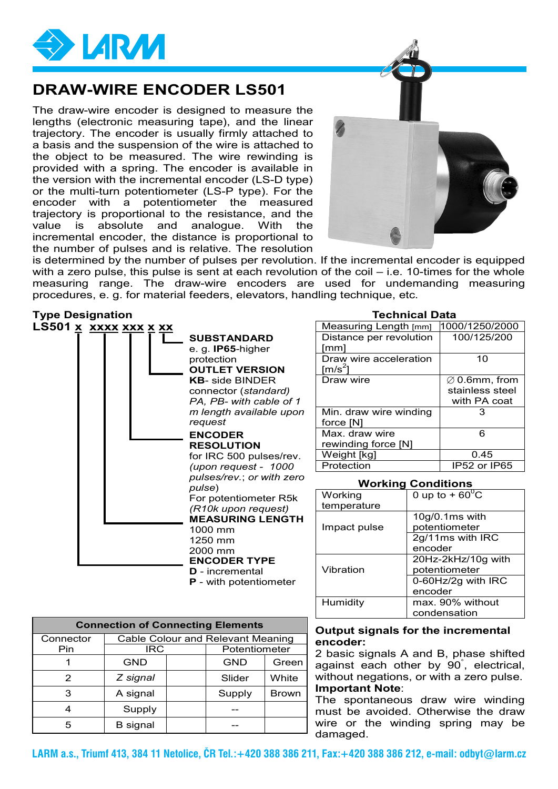

## **DRAW-WIRE ENCODER LS501**

The draw-wire encoder is designed to measure the lengths (electronic measuring tape), and the linear trajectory. The encoder is usually firmly attached to a basis and the suspension of the wire is attached to the object to be measured. The wire rewinding is provided with a spring. The encoder is available in the version with the incremental encoder (LS-D type) or the multi-turn potentiometer (LS-P type). For the encoder with a potentiometer the measured trajectory is proportional to the resistance, and the value is absolute and analogue. With the incremental encoder, the distance is proportional to the number of pulses and is relative. The resolution



is determined by the number of pulses per revolution. If the incremental encoder is equipped with a zero pulse, this pulse is sent at each revolution of the coil – i.e. 10-times for the whole measuring range. The draw-wire encoders are used for undemanding measuring procedures, e. g. for material feeders, elevators, handling technique, etc.

### **Type Designation Technical Data**



| Measuring Length [mm]   | 1000/1250/2000            |
|-------------------------|---------------------------|
| Distance per revolution | 100/125/200               |
| [mm]                    |                           |
| Draw wire acceleration  | 10                        |
| [m/s $^2$ ]             |                           |
| Draw wire               | $\varnothing$ 0.6mm, from |
|                         | stainless steel           |
|                         | with PA coat              |
| Min. draw wire winding  |                           |
| force [N]               |                           |
| Max. draw wire          | 6                         |
| rewinding force [N]     |                           |
| Weight [kg]             | 0.45                      |
| Protection              | IP52 or IP65              |

#### **Working Conditions**

| Working      | 0 up to + $60^{\circ}$ C |  |
|--------------|--------------------------|--|
| temperature  |                          |  |
|              | 10g/0.1ms with           |  |
| Impact pulse | potentiometer            |  |
|              | 2g/11ms with IRC         |  |
|              | encoder                  |  |
|              | 20Hz-2kHz/10g with       |  |
| Vibration    | potentiometer            |  |
|              | 0-60Hz/2g with IRC       |  |
|              | encoder                  |  |
| Humidity     | max. 90% without         |  |
|              | condensation             |  |

| <b>Connection of Connecting Elements</b> |                                          |  |               |              |  |  |
|------------------------------------------|------------------------------------------|--|---------------|--------------|--|--|
| Connector                                | <b>Cable Colour and Relevant Meaning</b> |  |               |              |  |  |
| Pin                                      | IRC                                      |  | Potentiometer |              |  |  |
|                                          | <b>GND</b>                               |  | <b>GND</b>    | Green        |  |  |
| 2                                        | Z signal                                 |  | Slider        | White        |  |  |
| 3                                        | A signal                                 |  | Supply        | <b>Brown</b> |  |  |
| 4                                        | Supply                                   |  |               |              |  |  |
| 5                                        | <b>B</b> signal                          |  |               |              |  |  |

#### **Output signals for the incremental encoder:**

2 basic signals A and B, phase shifted against each other by 90° , electrical, without negations, or with a zero pulse. **Important Note**:

The spontaneous draw wire winding must be avoided. Otherwise the draw wire or the winding spring may be damaged.